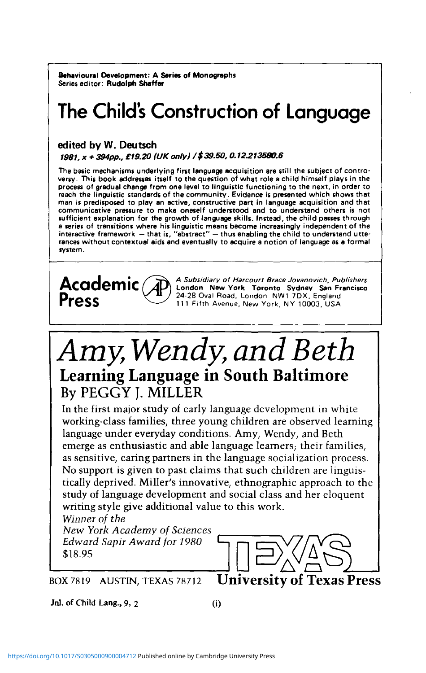**Behavioural Development: A Series of Monographs** Series editor: **Rudolph Shaffer**

# **The Child's Construction of Language**

### **edited by W. Deutsch**

1981, x + 394pp., £19.20 (UK only) /\$ 39.50, 0.12.213530.6

The basic mechanisms underlying first language acquisition are still the subject of controversy. This book addresses itself to the question of what role a child himself plays in the process of gradual change from one level communicative pressure to make oneself understood and to understand others is not sufficient explanation for the growth of language skills. Instead, the child passes through a series of transitions where his linguistic means become increasingly independent of the interactive framework  $-$  that is, "abstract"  $-$  thus enabling the child to understand utterances without contextual aids and even system.



**Academic** *(A)* A Subsidiary of Harcourt Brace Jovanovich, Publishers (A) London New York Toronto Sydney San Francisco London New York Toronto Sydney San Francisco 111 Fifth Avenue, New York, NY 10003, USA  $\Pr$ ess  $\left\{\bigcup_{i=1}^{N} 24.28 \text{ Oval Road, London } NW17DX, England}{111 \text{ Fifth Average New York, NY 10003, USA}}\right\}$ 

# *Amy Wendy, and Beth* **Learning Language in South Baltimore** By PEGGY J. MILLER

In the first major study of early language development in white working-class families, three young children are observed learning language under everyday conditions. Amy, Wendy, and Beth emerge as enthusiastic and able language learners; their families, as sensitive, caring partners in the language socialization process. No support is given to past claims that such children are linguistically deprived. Miller's innovative, ethnographic approach to the study of language development and social class and her eloquent writing style give additional value to this work.

*Winner of the New York Academy of Sciences Edward Sapir Award for 1980* \$18.95



BOX 7819 AUSTIN, TEXAS 78712 **University of Texas Press**

**Jnl. of Child Lang., 9, 2 (i)**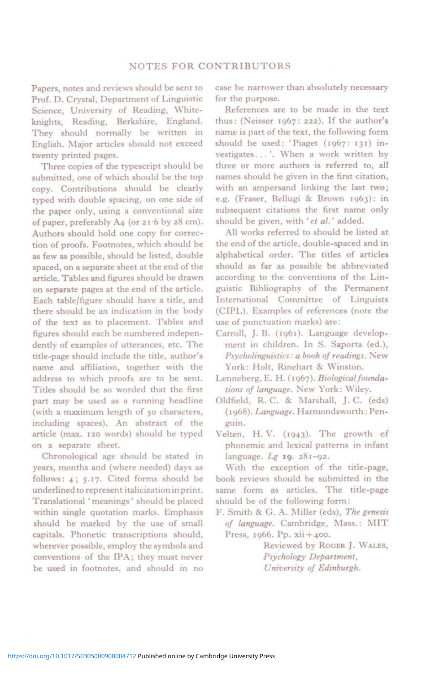#### **NOTES FOR CONTRIBUTORS**

**Papers, notes and reviews should be sent to Prof. D. Crystal, Department of Linguistic Science, University of Reading, Whiteknights, Reading, Berkshire, England. They should normally be written in English. Major articles should not exceed twenty printed pages.** 

**Three copies of the typescript should be submitted, one of which should be the top copy. Contributions should be clearly typed with double spacing, on one side of the paper only, using a conventional size of paper, preferably A4 (or 21 6 by 28 cm). Authors should hold one copy for correction of proofs. Footnotes, which should be as few as possible, should be listed, double spaced, on a separate sheet at the end of the article. Tables and figures should be drawn on separate pages at the end of the article. Each table/figure should have a title, and there should be an indication in the body of the text as to placement. Tables and figures should each be numbered independently of examples of utterances, etc. The title-page should include the title, author's name and affiliation, together with the address to which proofs are to be sent. Tides should be so worded that the first part may be used as a running headline (with a maximum length of 50 characters, including spaces). An abstract of the article (max. 120 words) should be typed on a separate sheet.** 

**Chronological age should be stated in years, months and (where needed) days as follows: 4; 5.17. Cited forms should be underlined to represent italicization in print. Translational ' meanings' should be placed within single quotation marks. Emphasis should be marked by the use of small capitals. Phonetic transcriptions should, wherever possible, employ the symbols and conventions of the IPA; they must never be used in footnotes, and should in no**  **case be narrower than absolutely necessary for the purpose.** 

**References are to be made in the text thus: (Neisser 1967: 222). If the author's name is part of the text, the following form should be used: 'Piaget (1967: 131) investigates...'. When a work written by three or more authors is referred to, all names should be given in the first citation, with an ampersand linking the last two; e.g. (Fraser, Bellugi & Brown 1963): in subsequent citations the first name only should be given, with** *' et al.'* **added.** 

**All works referred to should be listed at the end of the article, double-spaced and in alphabetical order. The titles of articles should as far as possible be abbreviated according to the conventions of the Linguistic Bibliography of the Permanent International Committee of Linguists (CIPL). Examples of references (note the use of punctuation marks) are:** 

- **Carroll, J. B. (1961). Language development in children. In S. Saporta (ed.),**  *Psycholinguistics: a book of readings.* **New York: Holt, Rinehart & Winston.**
- **Lenneberg, E. H. (1967).** *Biological foundations of language.* **New York: Wiley.**
- **Oldfield, R. C. & Marshall, J. C. (eds) (1968).** *Language.* **Harmondsworth : Penguin.**
- **Velten, H. V. (1943). The growth of phonemic and lexical patterns in infant language.** *Lg* **19. 281-92.**

**With the exception of the title-page, book reviews should be submitted in the same form as articles. The title-page should be of the following form:** 

**F. Smith & G. A. Miller (eds),** *The genesis of language.* **Cambridge, Mass.: MI T Press, 1966. Pp. xii + 400.** 

> **Reviewed by ROGER J. WALES,**  *Psychology Department, University of Edinburgh.*